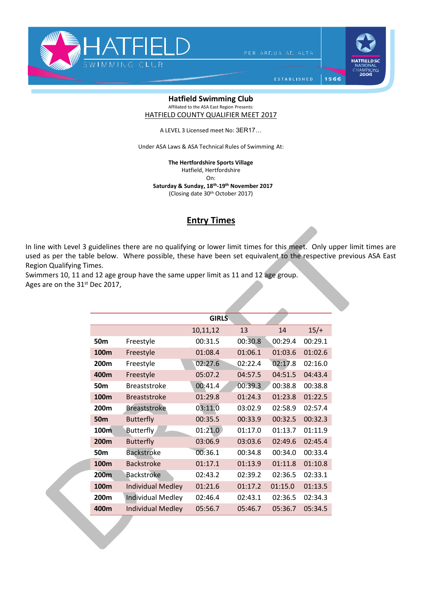

PER ARDUA AD ALTA

1966

ESTABLISHED

## **Hatfield Swimming Club** Affiliated to the ASA East Region Presents:

HATFIELD COUNTY QUALIFIER MEET 2017

A LEVEL 3 Licensed meet No: 3ER17…

Under ASA Laws & ASA Technical Rules of Swimming At:

**The Hertfordshire Sports Village** 

Hatfield, Hertfordshire

On:

 **Saturday & Sunday, 18 th-19th November 2017**

(Closing date 30th October 2017)

## **Entry Times**

In line with Level 3 guidelines there are no qualifying or lower limit times for this meet. Only upper limit times are used as per the table below. Where possible, these have been set equivalent to the respective previous ASA East Region Qualifying Times.

Swimmers 10, 11 and 12 age group have the same upper limit as 11 and 12 age group. Ages are on the 31<sup>st</sup> Dec 2017,

|                  |                          | <b>GIRLS</b> |         |         |         |
|------------------|--------------------------|--------------|---------|---------|---------|
|                  |                          | 10,11,12     | 13      | 14      | $15/+$  |
| 50m              | Freestyle                | 00:31.5      | 00:30.8 | 00:29.4 | 00:29.1 |
| 100m             | Freestyle                | 01:08.4      | 01:06.1 | 01:03.6 | 01:02.6 |
| 200 <sub>m</sub> | Freestyle                | 02:27.6      | 02:22.4 | 02:17.8 | 02:16.0 |
| 400m             | Freestyle                | 05:07.2      | 04:57.5 | 04:51.5 | 04:43.4 |
| 50 <sub>m</sub>  | <b>Breaststroke</b>      | 00:41.4      | 00:39.3 | 00:38.8 | 00:38.8 |
| 100m             | <b>Breaststroke</b>      | 01:29.8      | 01:24.3 | 01:23.8 | 01:22.5 |
| 200 <sub>m</sub> | <b>Breaststroke</b>      | 03:11.0      | 03:02.9 | 02:58.9 | 02:57.4 |
| <b>50m</b>       | <b>Butterfly</b>         | 00:35.5      | 00:33.9 | 00:32.5 | 00:32.3 |
| 100m             | <b>Butterfly</b>         | 01:21.0      | 01:17.0 | 01:13.7 | 01:11.9 |
| 200 <sub>m</sub> | <b>Butterfly</b>         | 03:06.9      | 03:03.6 | 02:49.6 | 02:45.4 |
| 50 <sub>m</sub>  | <b>Backstroke</b>        | 00:36.1      | 00:34.8 | 00:34.0 | 00:33.4 |
| 100m             | <b>Backstroke</b>        | 01:17.1      | 01:13.9 | 01:11.8 | 01:10.8 |
| 200m             | <b>Backstroke</b>        | 02:43.2      | 02:39.2 | 02:36.5 | 02:33.1 |
| 100m             | <b>Individual Medley</b> | 01:21.6      | 01:17.2 | 01:15.0 | 01:13.5 |
| 200m             | <b>Individual Medley</b> | 02:46.4      | 02:43.1 | 02:36.5 | 02:34.3 |
| 400m             | <b>Individual Medley</b> | 05:56.7      | 05:46.7 | 05:36.7 | 05:34.5 |